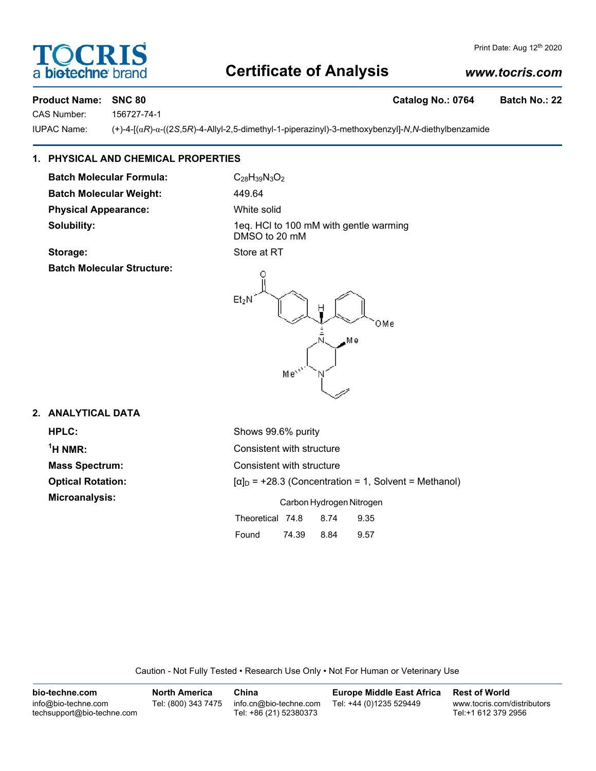## **Certificate of Analysis**

#### *www.tocris.com*

Print Date: Aug 12th 2020

**biotechne** 

**DCRI** 

**Product Name: SNC 80 Catalog No.: 0764 Batch No.: 22** 

CAS Number: 156727-74-1

IUPAC Name: (+)-4-[(α*R*)-α-((2*S*,5*R*)-4-Allyl-2,5-dimethyl-1-piperazinyl)-3-methoxybenzyl]-*N*,*N*-diethylbenzamide

### **1. PHYSICAL AND CHEMICAL PROPERTIES**

**Batch Molecular Formula:** C<sub>28</sub>H<sub>39</sub>N<sub>3</sub>O<sub>2</sub> **Batch Molecular Weight:** 449.64 **Physical Appearance:** White solid

**Batch Molecular Structure:**

**Solubility:** 1eq. HCl to 100 mM with gentle warming DMSO to 20 mM **Storage:** Store at RT



Mei

#### **2. ANALYTICAL DATA**

 $<sup>1</sup>H NMR$ :</sup>

**HPLC:** Shows 99.6% purity **Consistent with structure Mass Spectrum:** Consistent with structure **Optical Rotation:**  $[\alpha]_D = +28.3$  (Concentration = 1, Solvent = Methanol) **Microanalysis:** Carbon Hydrogen Nitrogen Theoretical 74.8 8.74 9.35 Found 74.39 8.84 9.57

OMe

Caution - Not Fully Tested • Research Use Only • Not For Human or Veterinary Use

| bio-techne.com                                    | <b>North America</b> | China                                            | <b>Europe Middle East Africa</b> | <b>Rest of World</b>                               |
|---------------------------------------------------|----------------------|--------------------------------------------------|----------------------------------|----------------------------------------------------|
| info@bio-techne.com<br>techsupport@bio-techne.com | Tel: (800) 343 7475  | info.cn@bio-techne.com<br>Tel: +86 (21) 52380373 | Tel: +44 (0)1235 529449          | www.tocris.com/distributors<br>Tel:+1 612 379 2956 |